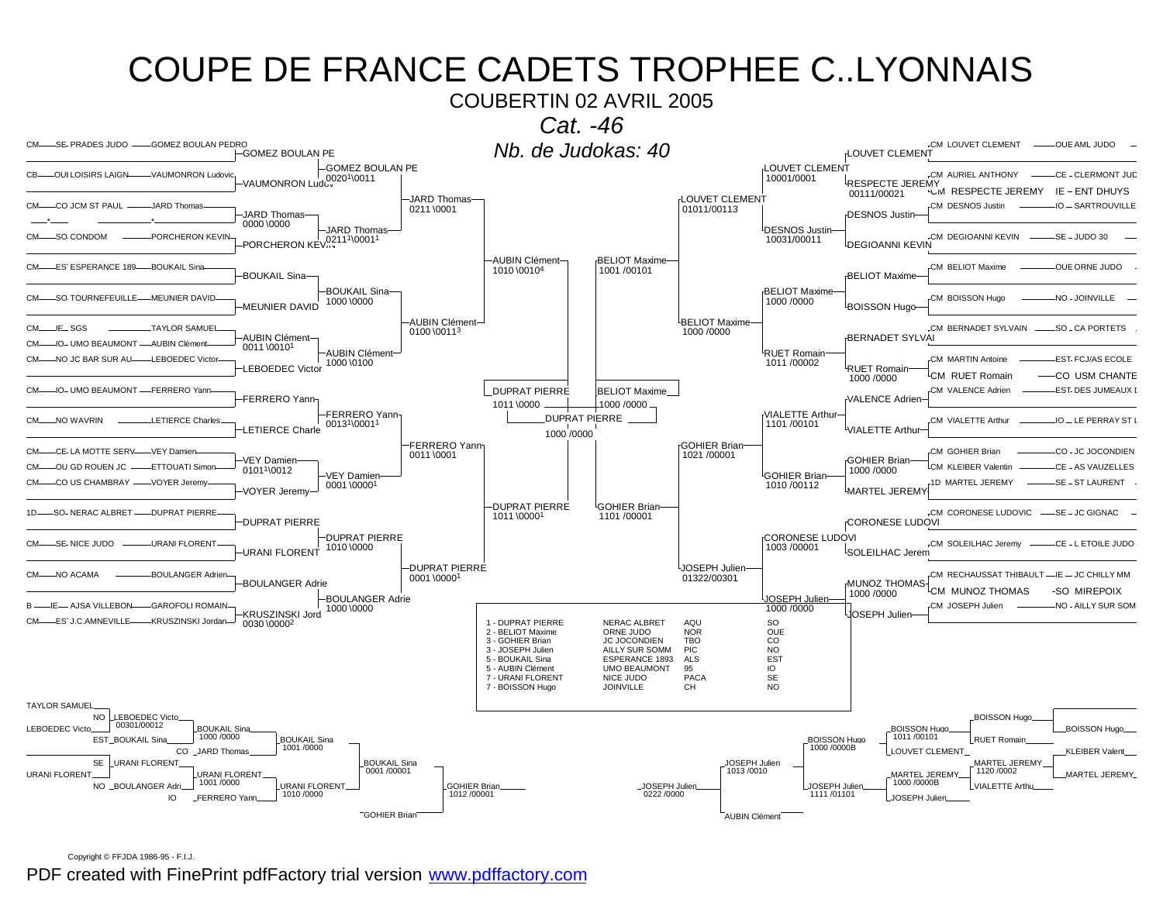COUBERTIN 02 AVRIL 2005



Copyright © FFJDA 1986-95 - F.I.J.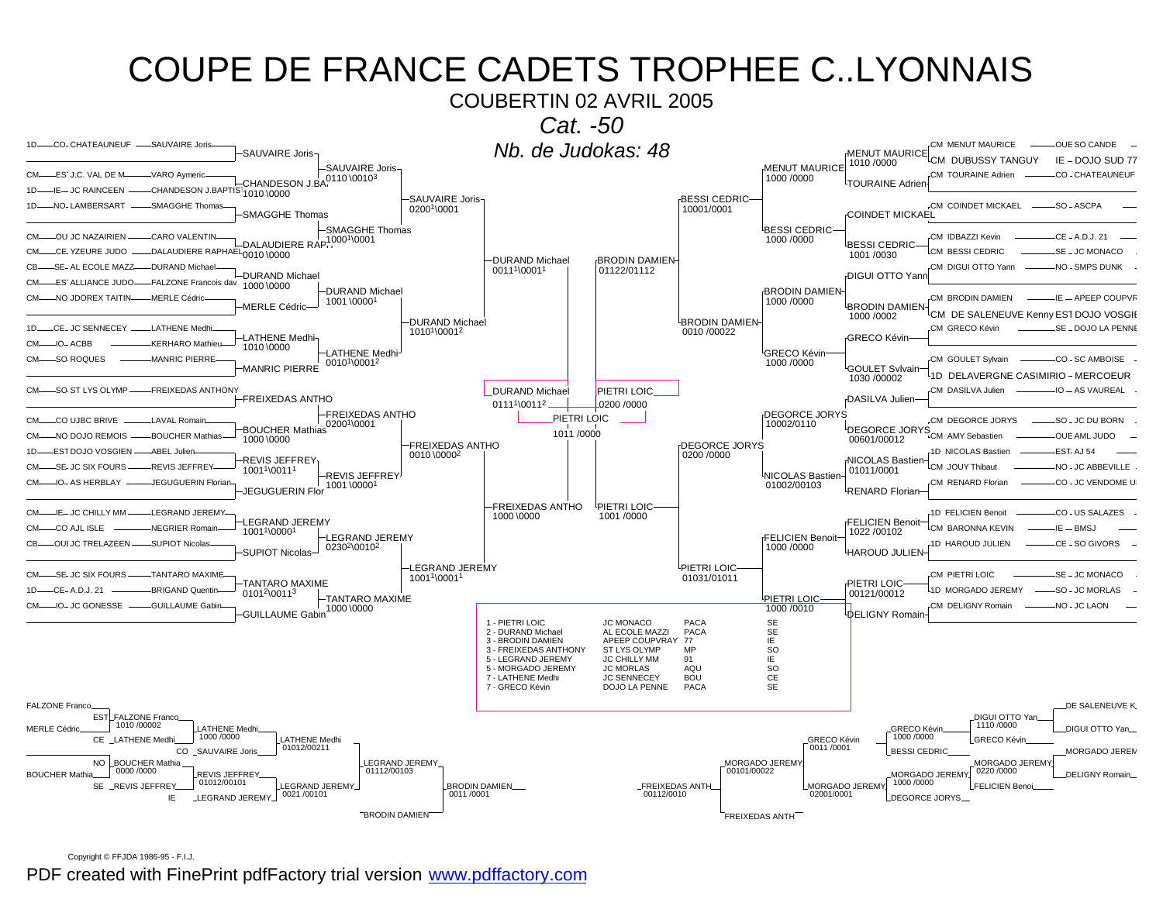### COUPE DE FRANCE CADETS TROPHEE C. LYONNAIS COUBERTIN 02 AVRIL 2005 Cat. -50 1D-CO- CHATEAUNEUF -SAUVAIRE Joris Nb. de Judokas: 48 **CM MENUT MAURICE** -OUE SO CANDE SAUVAIRE Joris-**MENUT MAURICE** CM DUBUSSY TANGUY IF - DOJO SUD 77 -SAUVAIRE Joris-1010/0000 **MENUT MAURICE** CHANDESON J.BA, 0110 \00103 CM TOURAINE Adrien CO - CHATEAUNEUR CM-ES' J.C. VAL DE M--VARO Avmeri 1000 /0000 TOURAINE Adrier CHANDESON J.BAPTIST<sub>1010</sub> \0000  $1D -$ -IE-JC RAINCEEN -SAUVAIRE Joris-**BESSI CEDRIC** NO.I AMRERSART SMAGGHE Thomay CM COINDET MICKAEL  $SO-ASCPA$  $1D -$ 02001\0001 10001/0001 **SMAGGHE Thomas COINDET MICKAEL** SMAGGHE Thomas BESSI CEDRIC--DALAUDIERE RAP. 10001\0001 -OU JC NAZAIRIEN CARO VALENTIN CM IDBAZZI Kevin CE - A.D.J. 21  $CM -$ 1000 /0000 <sup>l</sup>BESSI CEDRIC DALAUDIERE RAPHAEL CE YZEURE JUDO CM RESSLCEDRIC -SE - JC MONACO  $CM$ 1001/0030 -DURAND Michael **BRODIN DAMIEN**  $CR$  $-SE$ -ALECOLE MAZZ -DHRAND Michae CM DIGHLOTTO Vann NO . SMPS DUNK 00111\00011 01122/01112 -DURAND Michael DIGUI OTTO Yann CM-ES' ALLIANCE JUDO-FALZONE Francois dav 1000 \0000 -DURAND Michael **BRODIN DAMIEN-**-MERLE Cédric CM BRODIN DAMIEN NO IDOREX TAITIN  $IF = APFFP CONIPVE$  $CM$ 1000 /0000 1001\00001 **MERLE Cédric** BRODIN DAMIEN CM DE SALENEUVE Kenny EST DOJO VOSGIE 1000 / 0002 -DURAND Michael **BRODIN DAMIEN**  $1D<sub>-</sub>$ -CE-JC SENNECEY --LATHENE Medh CM GRECO Kévin -SE - DOJO LA PENN 10101\00012 0010 /00022 **LATHENE Medhi GRECO Kévin**  $CM_{-}$  $\Box$  $\Omega$ <sub>r</sub>  $\angle$  ACRR KERHARO Mathie 1010 \0000 **LATHENE Medhi** GRECO Kévin SO ROQUES MANRIC PIERRE CO - SC AMBOISE CM-CM GOULET Sylvain 00101\00012 1000 /0000 MANRIC PIERRE **GOULET Svlvain** <sup>1</sup>1D DELAVERGNE CASIMIRIO - MERCOEUR 1030 /00002 CM-SO ST LYS OLYMP--FREIXEDAS ANTHONY CM DASILVA Julien -IO - AS VAUREAL **DURAND Michael** PIETRI LOIC **EREIXEDAS ANTHO** <sub>[</sub>DASILVA Julien 0111<sup>1</sup>\0011<sup>2</sup> -0200 /0000 -FREIXEDAS ANTHO DEGORCE JORYS PIETRI LOIC  $CM$  $C<sub>O</sub>$  LLIBC BRIVE I AVAL Romai CM DEGORCE JORYS  $-SO$  . IC DU BORN 10002/0110 02001\0001 **DEGORCE JORY BOUCHER Mathias** 1011/0000 S<sub>CM</sub> AMY Sebastien -BOUCHER Mathias  $CM -$ -NO DOJO REMOIS OULE AMI JUDO 1000 \0000 00601/00012 FREIXEDAS ANTHO DEGORCE JORYS **EST DOJO VOSGIEN** ABEL Julie 1D NICOLAS Bastien **FST A.I 54** 0010 \0000<sup>2</sup> 0200 /0000 REVIS JEFFREY NICOLAS Bastier -SE-JC SIX FOURS -REVIS JEFFREY CM JOUY Thibaut NO - JC ABBEVILLE 10011\00111 01011/0001 -REVIS JEFFREY <sup>L</sup>NICOLAS Bastien -IO-AS HERBLAY -JEGUGUERIN Floria CM RENARD Florian -CO - JC VENDOME U  $CM -$ 01002/00103 1001\00001 JEGUGUERIN Flor **RENARD Florian FREIXEDAS ANTHO** PIETRI LOIC CM-IF-JC CHILLY MM - FGRAND JEREMY 1D FFI ICIEN Benoit  $1001/0000$ -CO - US SALAZES 1000 \0000 LEGRAND JEREMY **FELICIEN Benoit** NEGRIER Romai  $CM$  $-$ CO A.II ISI F CM RARONNA KEVIN  $IF = RHSI$ 10011\00001 1022/00102 LEGRAND JEREMY **FELICIEN Benoit** OUI JC TRELAZEEN SUPIOT Nicola 1D HAROUD JULIEN -CE - SO GIVORS C<sub>R</sub> 0230<sup>2</sup>\0010<sup>2</sup> 1000 /0000 **HAROUD JULIEN** SUPIOT Nicolas--LEGRAND JEREMY PIETRI LOIC  $CM$ SE-JC SIX FOURS **TANTARO MAXIME** CM PIFTRU OIC  $-SE - JC$  MONACO 10011\00011 01031/01011 **TANTARO MAXIME** PIETRI LOIC CE-A.D.J. 21 **BRIGAND Quenti** 1D MORGADO JEREMY SO-JC MORLAS  $1D-$ 01012\00113 00121/00012 TANTARO MAXIME PIETRI LOIC- $-IO$ - JC GONESSE  $-$ -GUILLAUME Gabi CM DELIGNY Romain -NO-JC LAON  $CM$ — 1000 \0000 1000/0010 **GUILLAUME Gabin** LDELIGNY Romair 1 - PIETRI LOIC **JC MONACO** PACA **SE** 2 - DURAND Michael AL ECOLE MAZZI PACA SE 3 - BRODIN DAMIEN APEEP COUPVRAY 77 IE 3 - FREIXEDAS ANTHONY ST LYS OLYMP **MP** SO 5 - LEGRAND JEREMY **JC CHILLY MM** 91 IE 5 - MORGADO JEREMY **JC MORLAS** AOU **SO** 7 - LATHENE Medhi **JC SENNECEY BOU CE** 7 - GRECO Kévin DOJO LA PENNE PACA **SE FALZONE France** DE SALENEUVE K EST FALZONE Franco DIGUI OTTO Yan 1010/00002 1110/0000 **MERLE Cédric ATHENE Medh GRECO Kévin** DIGUI OTTO Yan 1000 /0000 1000 /0000 CE LATHENE Medhi. LATHENE Medhi. **GRECO Kévir** GRECO Kévir 01012/00211 0011/0001 CO\_SAUVAIRE Jori **BESSI CEDRIC** MORGADO JEREM NO BOUCHER Mathia LEGRAND JEREMY MORGADO JEREMY MORGADO JEREMY  $01112/00103$ 0000/0000 00101/00022  $0220/0000$ **BOUCHER Mathia REVIS JEFFREY** MORGADO JEREM' DELIGNY Romain  $01012/00101$ 1000/0000 SE \_REVIS JEFFREY LEGRAND JEREMY **BRODIN DAMIEN.......** MORGADO JEREMY **FREIXEDAS ANTH** FFI ICIEN Beno 0011/0001  $00112/0010$  $02001/0001$  $0021/00101$ IE. **LEGRAND JEREMY** DEGORCE JORYS **BRODIN DAMIEN** FREIXEDAS ANTH

Copyright © FFJDA 1986-95 - F.I.J.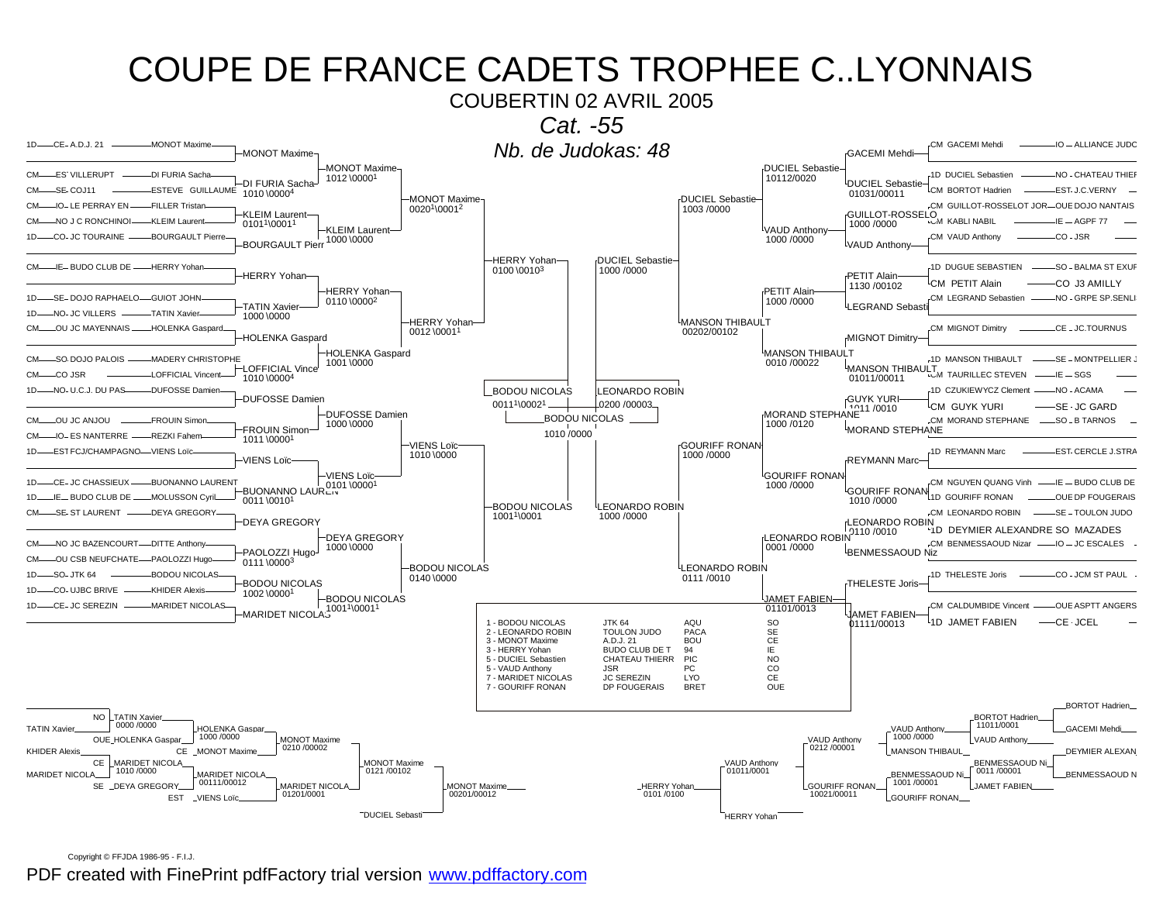

Copyright © FFJDA 1986-95 - F.I.J.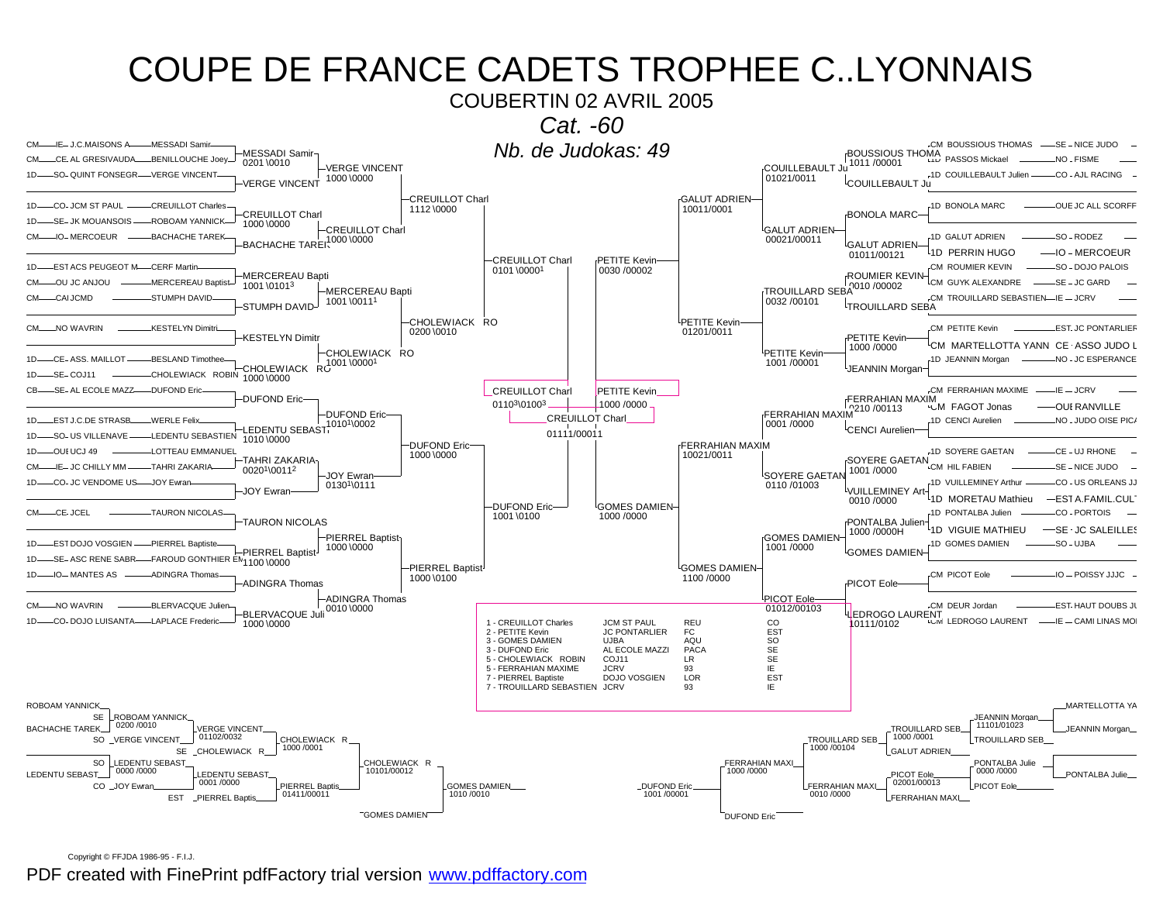### COUPE DE FRANCE CADETS TROPHEE C. LYONNAIS COUBERTIN 02 AVRIL 2005 Cat. -60 CM-IE-J.C.MAISONS A -MESSADI Samir Nb. de Judokas: 49 -CM BOUSSIOUS THOMAS -SE - NICE JUDO -MESSADI Samir **BOUSSIOUS THOMA** CM-CE AL GRESIVAUDA-BENILLOUCHE Joey "I'D PASSOS Mickael -NO - FISME 0201 0010 1011/00001 **-VERGE VINCENT COUILLEBAULT Ju** SO-QUINT FONSEGR - VERGE VINCENT -1D COUILLEBAULT Julien--CO - AJL RACING 01021/0011 1000 \0000 <sup>l</sup>COUILLEBAULT Ju **VERGE VINCENT CREUILLOT Charl** GALUT ADRIEN-CO-JCM ST PAUL CREUILLOT Charles 1D BONOLA MARC OUE IC ALL SCOREE  $1D -$ 1112\0000 10011/0001 **CREUILLOT Charl BONOLA MARC** -SE- JK MOUANSOIS--ROBOAM YANNIC 1000 \0000 -CREUILLOT Charl <sup>L</sup>GALUT ADRIEN-BACHACHE TAREK 1000 \0000 -IO-MERCOEUR -BACHACHE TAREK 1D GALUT ADRIEN SO - RODEZ **CM** 00021/00011 GALUT ADRIEN 1D PERRIN HUGO  $-$ IO - MERCOELIR 01011/00121 -CREUILLOT Charl **PETITE Kevin** 1D ........ EST ACS PELIGEOT M. CERE Martin CM ROUMLER KEVIN  $SO - DO$  IO PALOIS 0101 \00001 0030 /00002 **ROUMIER KEVIN** -MERCEREAU Bapti TROUILLARD SEBA<sup>1</sup>010/00002 CM-OU JC ANJOU -MERCEREAU Baptist CM GUYK ALEXANDRE -SE – JC GARD 1001\01013 -MERCEREAU Bapti  $CALICMD$ STI IMPH DAVID CM TROUILLARD SERASTIEN\_IF\_ICRV  $CM$ 0032 / 00101 1001\00111 **STUMPH DAVID TROUILLARD SEBA** CHOLEWIACK RO PETITE Kevin  $CM$ -NO WAVRIN **KESTEI YN Dimitr** CM PETITE Kevin **EST JC PONTARLIER** 0200 \0010 01201/0011 **KESTELYN Dimitr** PETITE Kevin CM MARTELLOTTA YANN CE ASSO JUDO I 1000 /0000 CHOLEWIACK RO PETITE Kevin CE-ASS, MAILLOT -BESLAND Timothee 1D JEANNIN Morgan -NO - JC ESPERANCE  $R(1001)00001$ 1001/00001 CHOLEWIACK JEANNIN Morgar CHOLEWIACK ROBIN 1000 0000  $SE$ <sub>-CO</sub>.111  $1D<sub>-</sub>$  $CR$ -SE- AL ECOLE MAZZ----- DUFOND Eric **CM FERRAHIAN MAXIME**  $-E = JCRV$ **CREUILLOT Charl PETITE Kevin** FERRAHIAN MAXIM **DUFOND Eric**  $FERRAHIAN MAXIM$ 01103\01003 1000/0000 **CM FAGOT Jonas** -OUI RANVILLE -DUFOND Eric-CREUILLOT Charl 1D CENCI Aurelien **LEST.IC DE STRASB** WERLE Felix NO . JUDO OISE PIC  $1D<sub>-</sub>$ 0001 /0000 .1010<sup>1</sup>\0002 LEDENTU SEBAST. CENCI Aurelier 01111/00011 -LEDENTU SEBASTIEN  $1D -$ -SO- US VILLENAVE 1010 \0000 DUFOND Eric-FERRAHIAN MAXIM -OUI UCJ 49 LOTTEAU EMMANUEI 1D SOYERE GAETAN -CE - UJ RHONE 1000 \0000 10021/0011 TAHRI ZAKARIA-**SOYERE GAETAN** -IE-JC CHILLY MM -TAHRI ZAKARIA CM HIL FABIEN -SE - NICE JUDO 00201\00112 1001/0000 **JOY Ewran** SOYERE GAETAN -CO- JC VENDOME US--JOY Ewrar 1D VI III I FMINFY Arthur CO - US ORLEANS J.  $1D -$ 0110/01003 01301\0111 <sup>l</sup>VUILLEMINEY Ar **JOY Ewran** 1D MORETALL Mathieu -FST A.FAMIL.CUL 0010 /0000 DUFOND Eric-**GOMES DAMIEN-** $CM$  \_\_\_\_ CE. JCEL **TAURON NICOLAS** 1001 \0100 1000 /0000 1D PONTAL BA Julien CO - PORTOIS **TAURON NICOLAS** PONTALBA Julier 1D VIGUIE MATHIEU  $-$ SE JC SALEILLES 1000 /0000H PIERREL Baptist **GOMES DAMIEN-EST DOJO VOSGIEN** -PIERREL Baptist 1D GOMES DAMIEN  $-SO - UJBA$  $1D -$ 1000 \0000 1001/0000 PIERREL Baptist<sup>J</sup> <sup>L</sup>GOMES DAMIEN FAROUD GONTHIER EN 1100 \0000 SE-ASC RENE SABR--PIERREL Baptist <sup>L</sup>GOMES DAMIEN-**IO-MANTES AS ADINGRA Thomas** CM PICOT Eole  $-10 - POISSY$  . I. LIC 1000 \0100 1100 /0000 **ADINGRA Thomas** PICOT Eole -ADINGRA Thomas PICOT Eole CM-NO WAVRIN -BLERVACQUE Julier -CM\_DEUR Jordan **EST HAUT DOUBS JU** 0010 0000 01012/00103 **BLERVACOUE Jul LEDROGO LAURENT** 1D-CO-DOJO LUISANTA-LAPLACE Frederic **W LEDROGO LAURENT** 1 - CREUILLOT Charles **JCM ST PAUL** REU  $_{\rm CO}$ —IE — CAMI LINAS MO 10111/0102 1000 \0000 **JC PONTARLIER** EST 2 - PETITE Kevin  ${\sf FC}$ 3 - GOMES DAMIEN **UJBA** AOU SO 3 - DUFOND Eric AL ECOLE MAZZI **PACA** SE 5 - CHOLEWIACK ROBIN COJ11 **LR** SE 5 - FERRAHIAN MAXIME **JCRV** IF 93 7 - PIERREL Baptiste **DOJO VOSGIEN** LOR **EST** 7 - TROUILLARD SEBASTIEN JCRV ΙE 93 ROBOAM YANNICK MARTELLOTTA YA SE ROBOAM YANNICH **IFANNIN Morgan**  $0200/0010$ 11101/01023 **TROUILLARD SEB BACHACHE TAREK VERGE VINCENT JEANNIN Morgan** 01102/0032 1000 /0001 SO \_VERGE VINCENT\_ **TROUILLARD SEB** CHOLEWIACK R **TROUILLARD SEB** 1000 /0001 1000 /00104 SE \_CHOLEWIACK R **GALUT ADRIEN** SO LLEDENTU SEBAST CHOLEWIACK R FERRAHIAN MAXI PONTALBA Julie  $0000 / 0000$ 10101/00012 1000 /0000 0000 /0000 LEDENTU SEBAST **FDENTU SEBAST** PICOT Fole PONTALBA Julie  $02001/00013$ 0001/0000 PIERREL Bantis DUFOND Frie CO \_JOY Ewrar GOMES DAMIEN FERRAHIAN MAXI **PICOT Fok** 1010/0010 01411/00011 1001/00001 0010/0000 **EST** PIERREL Bapti FERRAHIAN MAXI "GOMES DAMIEN" **DUFOND Eric**

Copyright © FFJDA 1986-95 - F.I.J.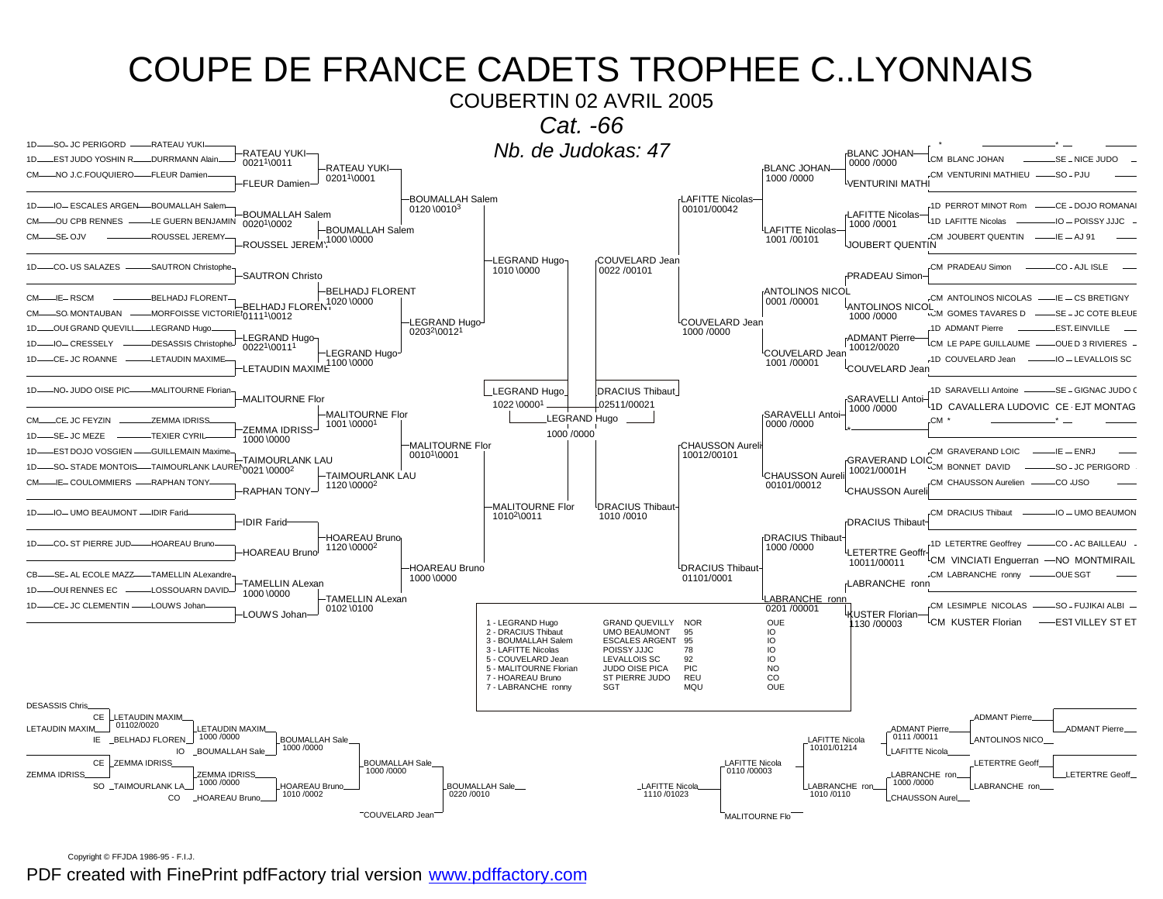

Copyright © FFJDA 1986-95 - F.I.J.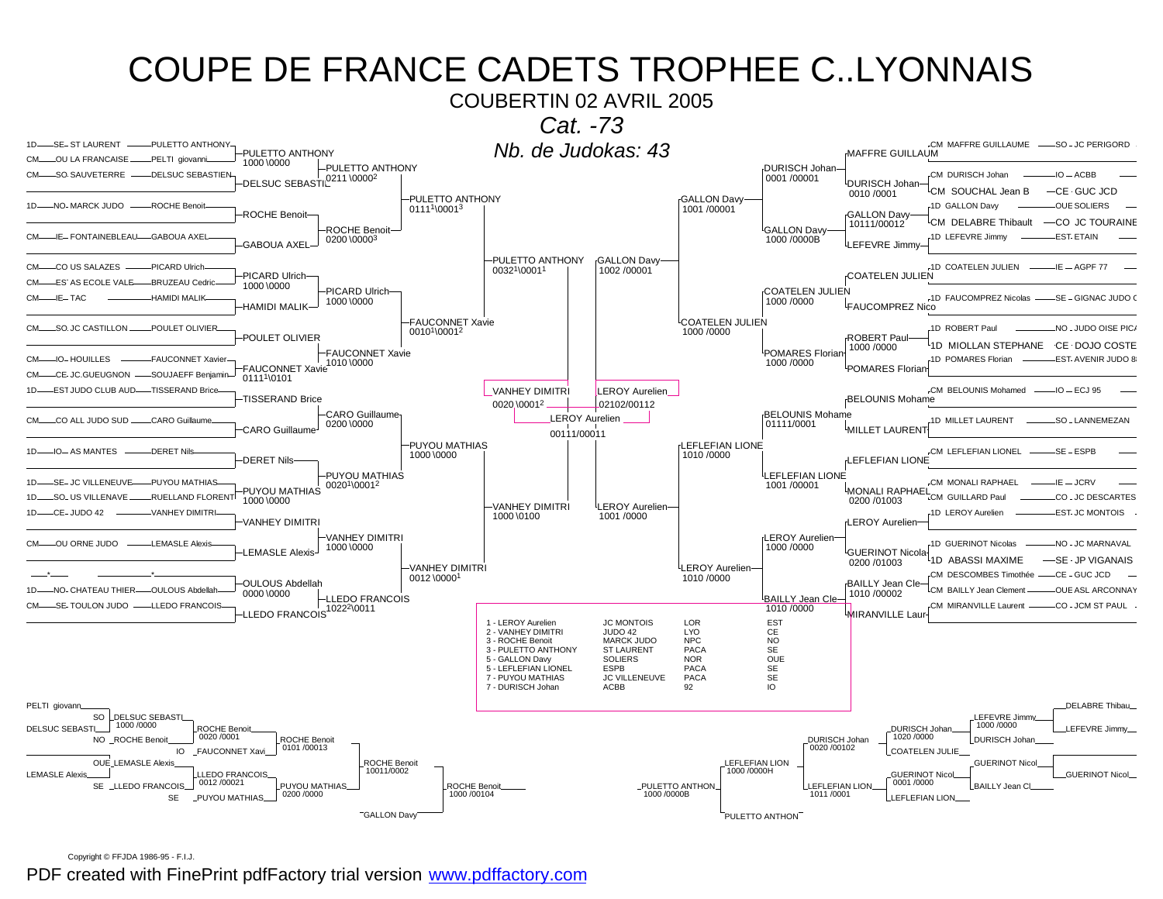

Copyright © FFJDA 1986-95 - F.I.J.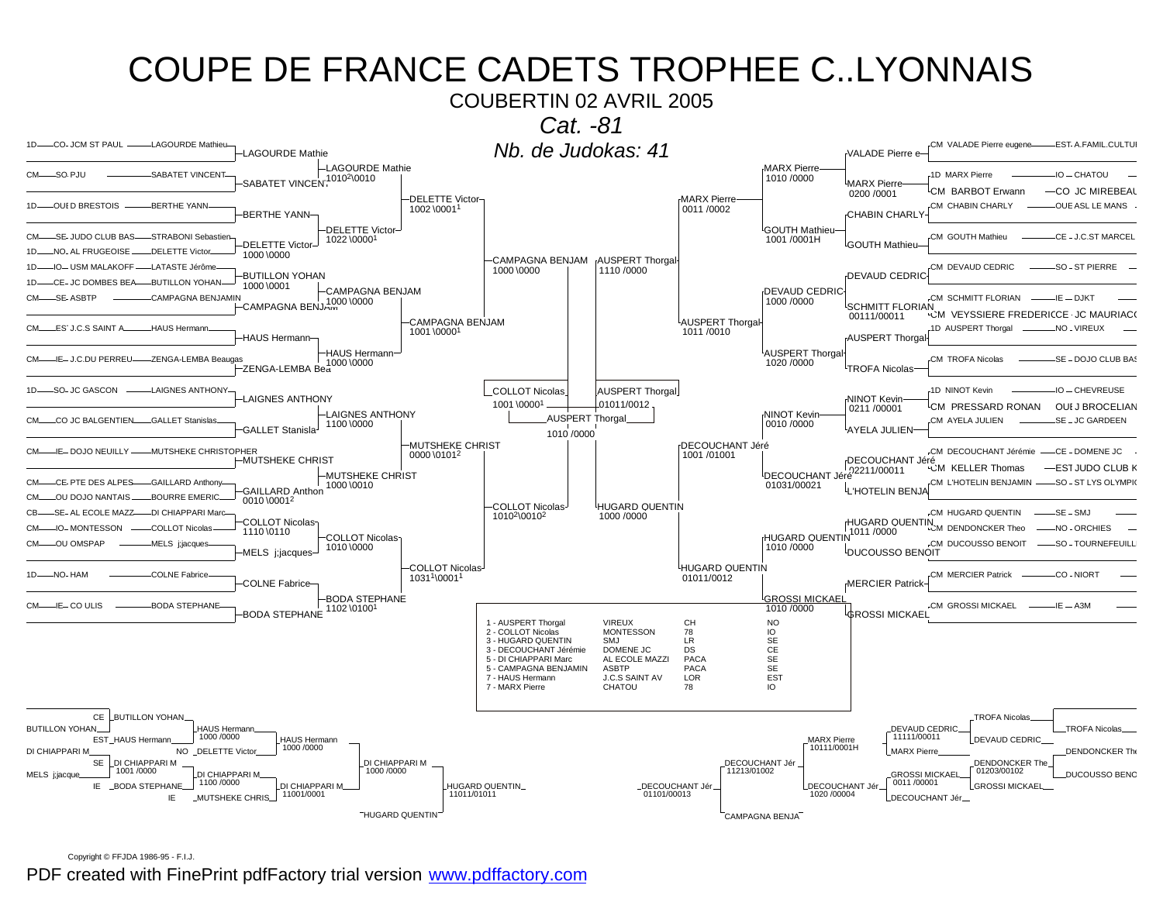COUBERTIN 02 AVRIL 2005



Copyright © FFJDA 1986-95 - F.I.J.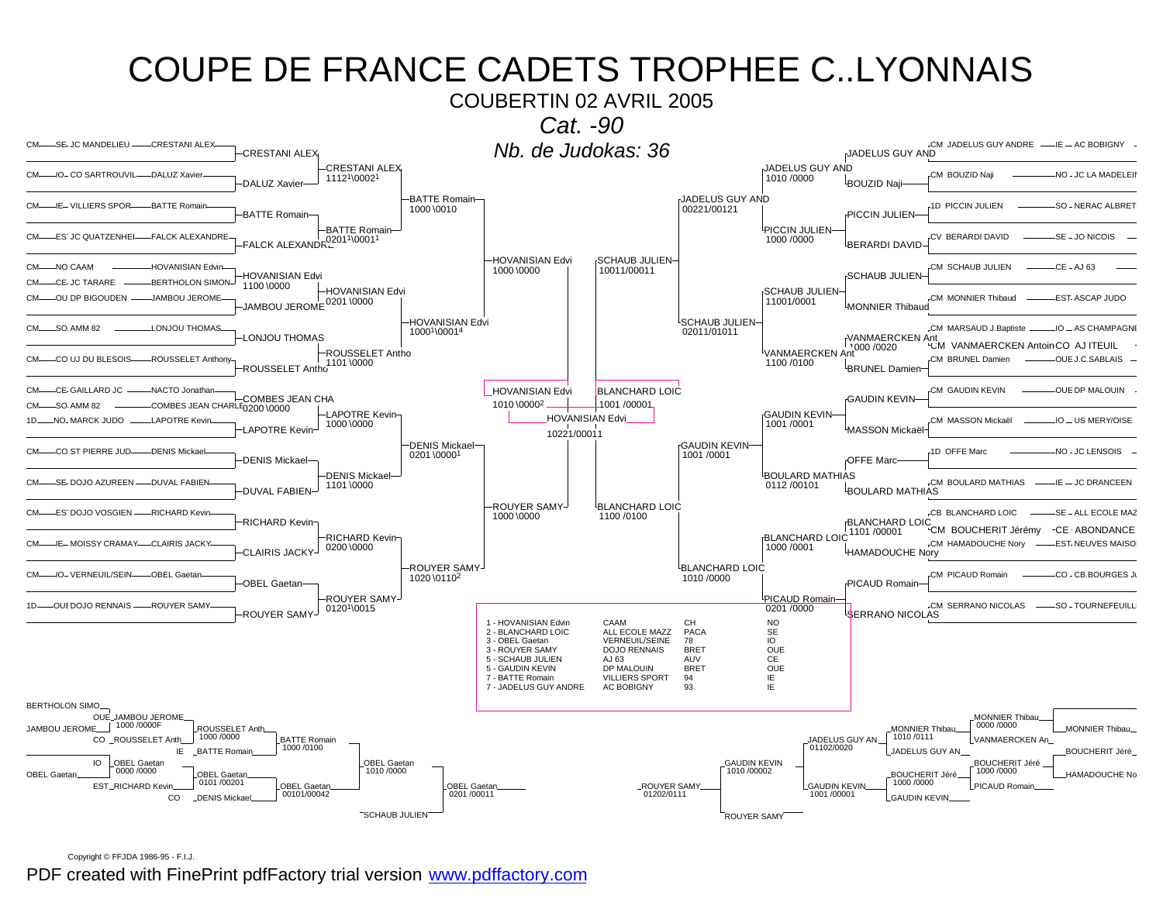COUBERTIN 02 AVRIL 2005



Copyright © FFJDA 1986-95 - F.I.J.